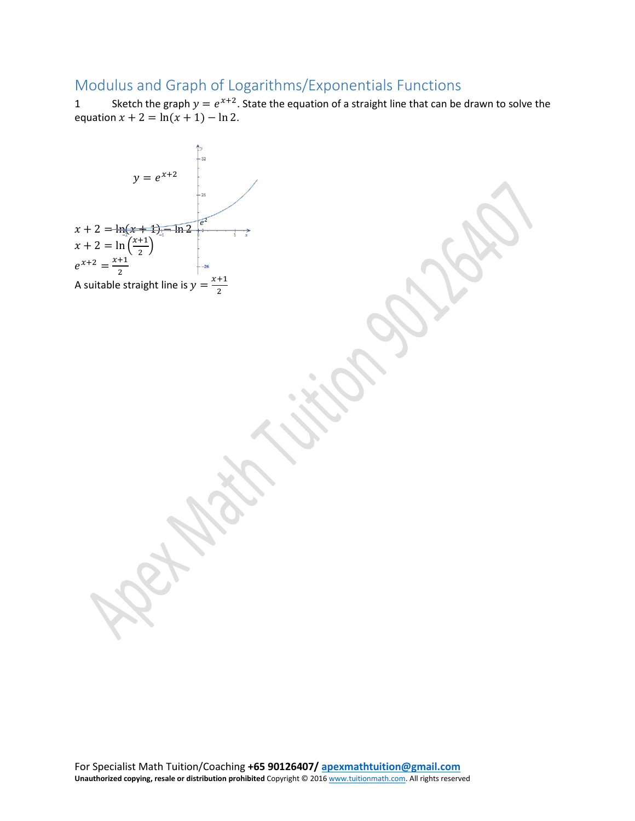## Modulus and Graph of Logarithms/Exponentials Functions

1 Sketch the graph  $y = e^{x+2}$ . State the equation of a straight line that can be drawn to solve the equation  $x + 2 = \ln(x + 1) - \ln 2$ .

y = e<sup>x+2</sup>  
\nx+2 = ln(x+1) - ln 2 e<sup>2</sup>  
\nx+2 = ln(x+1) - ln 2 e<sup>2</sup>  
\nx+2 = 
$$
\frac{x+1}{2}
$$
  
\nA suitable straight line is y =  $\frac{x+1}{2}$   
\nA  
\nA  
\nB  
\nA  
\nB  
\nB  
\nC  
\nD  
\nA  
\nB  
\nC  
\nA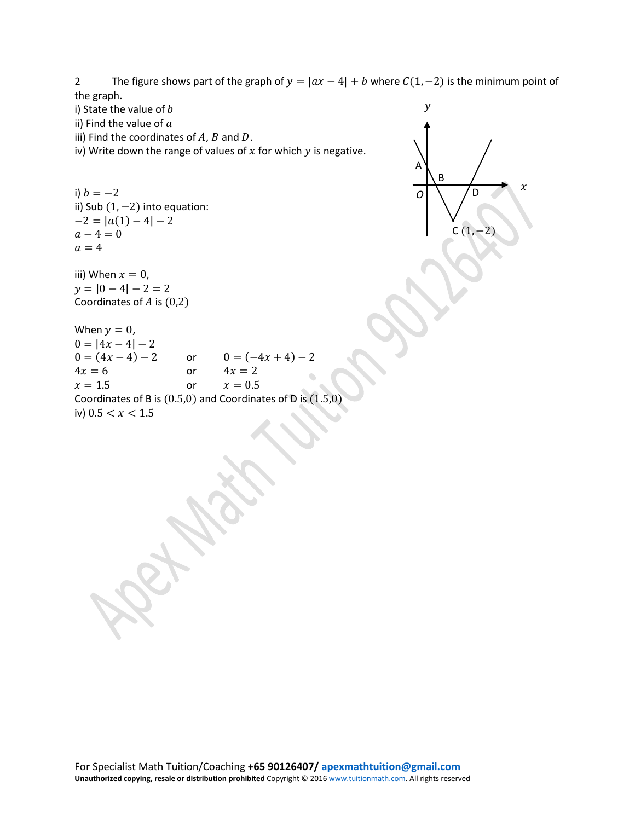2 The figure shows part of the graph of  $y = |ax - 4| + b$  where  $C(1, -2)$  is the minimum point of the graph.

 $\mathcal{X}$ 

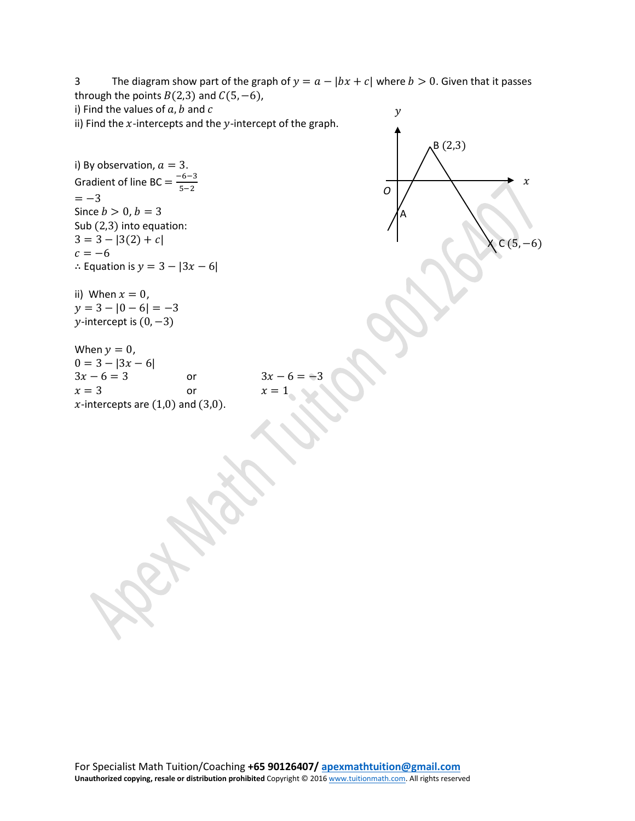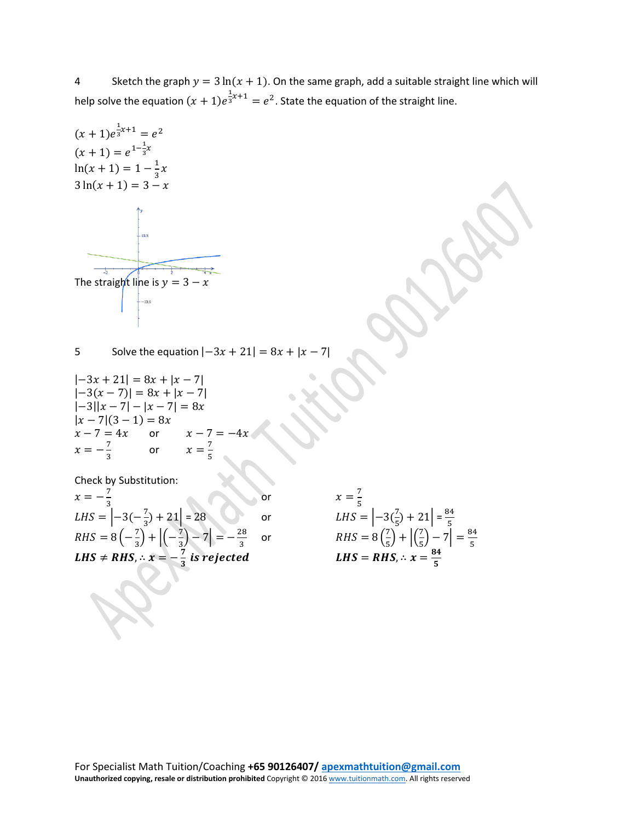4 Sketch the graph  $y = 3 \ln(x + 1)$ . On the same graph, add a suitable straight line which will help solve the equation  $(x + 1)e^{\frac{1}{3}x + 1} = e^2$ . State the equation of the straight line.

$$
(x + 1)e^{\frac{1}{3}x+1} = e^2
$$
  
\n
$$
(x + 1) = e^{1-\frac{1}{3}x}
$$
  
\n
$$
\ln(x + 1) = 1 - \frac{1}{3}x
$$
  
\n
$$
3\ln(x + 1) = 3 - x
$$
  
\n
$$
\sum_{\text{as}}^{3}
$$
  
\nThe straight line is  $y = 3 - x$ 

5 Solve the equation  $|-3x + 21| = 8x + |x - 7|$ 

$$
|-3x + 21| = 8x + |x - 7|
$$
  
\n
$$
|-3(x - 7)| = 8x + |x - 7|
$$
  
\n
$$
|-3||x - 7| - |x - 7| = 8x
$$
  
\n
$$
|x - 7|(3 - 1) = 8x
$$
  
\n
$$
x - 7 = 4x \text{ or } x - 7 = -4x
$$
  
\n
$$
x = -\frac{7}{3} \text{ or } x = \frac{7}{5}
$$

Check by Substitution:

| LHS = $\left -3(-\frac{7}{3})+21\right =28$                                                          | $LHS = \big  -3 \big $            |
|------------------------------------------------------------------------------------------------------|-----------------------------------|
| $RHS = 8\left(-\frac{7}{3}\right) + \left  \left(-\frac{7}{3}\right) - 7 \right  = -\frac{28}{3}$ or | $RHS = 8\left(\frac{7}{5}\right)$ |
| LHS $\neq$ RHS, $\therefore$ $x=-\frac{7}{3}$ is rejected                                            | $LHS = RHS$                       |

$$
\begin{vmatrix} 1 & 28 & 0 \\ 2 & -7 & 10 \\ \frac{1}{3} & 3 & -7 \end{vmatrix} = -\frac{28}{3} \quad \text{or} \quad \begin{aligned} x &= \frac{7}{5} \\ LHS &= \left| -3\left(\frac{7}{5}\right) + 21 \right| = \frac{84}{5} \\ RHS &= 8\left(\frac{7}{5}\right) + \left| \left(\frac{7}{5}\right) - 7 \right| = \frac{84}{5} \\ LHS &= RHS, \therefore x = \frac{84}{5} \end{aligned}
$$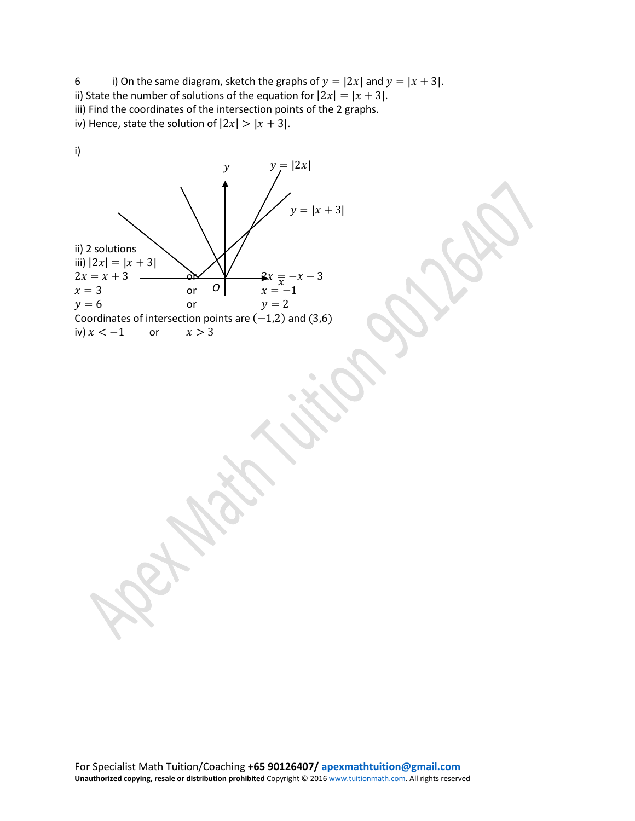6 i) On the same diagram, sketch the graphs of  $y = |2x|$  and  $y = |x + 3|$ . ii) State the number of solutions of the equation for  $|2x| = |x + 3|$ . iii) Find the coordinates of the intersection points of the 2 graphs. iv) Hence, state the solution of  $|2x| > |x + 3|$ .



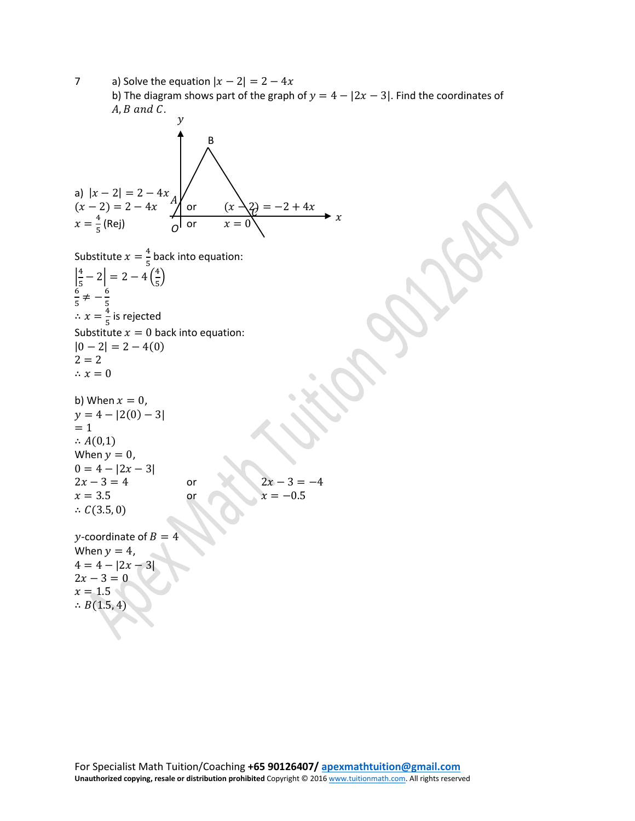7 a) Solve the equation  $|x-2|=2-4x$ b) The diagram shows part of the graph of  $y = 4 - |2x - 3|$ . Find the coordinates of  $A, B$  and  $C$ . a)  $|x-2|=2-4x$  $(x - 2) = 2 - 4x$  (x  $\sqrt{2} = -2 + 4x$  $x = \frac{4}{5}$  (Rej)  $\qquad \qquad \overline{0}$  or  $x = 0$ Substitute  $x = \frac{4}{5}$  back into equation:  $\left|\frac{4}{5}-2\right|=2-4\left(\frac{4}{5}\right)$  $\frac{1}{5}$  $rac{6}{5} \neq -\frac{6}{5}$  $\therefore x = \frac{4}{5}$  is rejected Substitute  $x = 0$  back into equation:  $|0 - 2| = 2 - 4(0)$  $2 = 2$  $\therefore x = 0$ b) When  $x = 0$ ,  $y = 4 - |2(0) - 3|$  $= 1$  $\therefore A(0,1)$ When  $y = 0$ ,  $0 = 4 - |2x - 3|$  $2x - 3 = 4$  or  $2x - 3 = -4$ <br>  $x = 3.5$  or  $x = -0.5$ or  $x = -0.5$ ∴  $C(3.5, 0)$ y-coordinate of  $B = 4$ When  $y = 4$ ,  $4 = 4 - |2x - 3|$  $2x - 3 = 0$  $x = 1.5$ ∴  $B(1.5, 4)$  $\chi$ Ą B  $\mathcal{V}$ *O* Ľ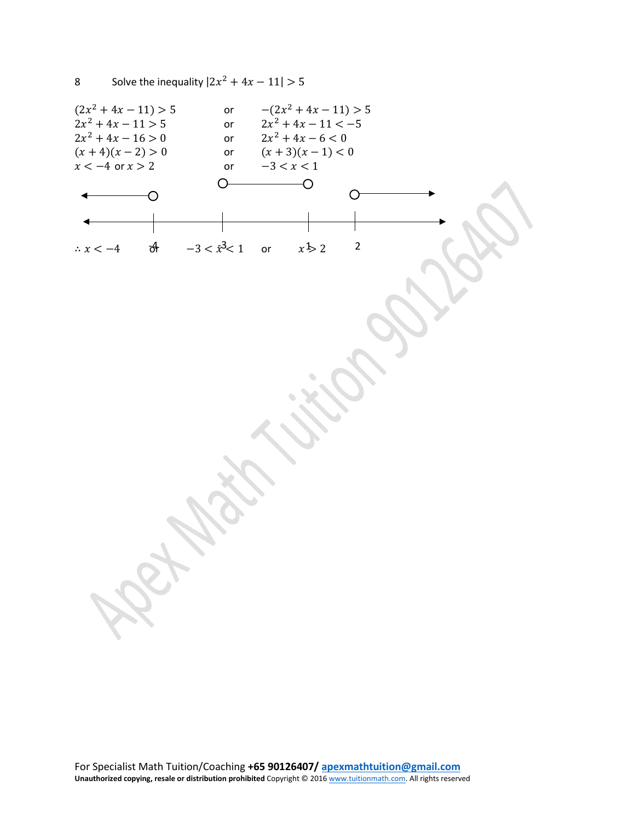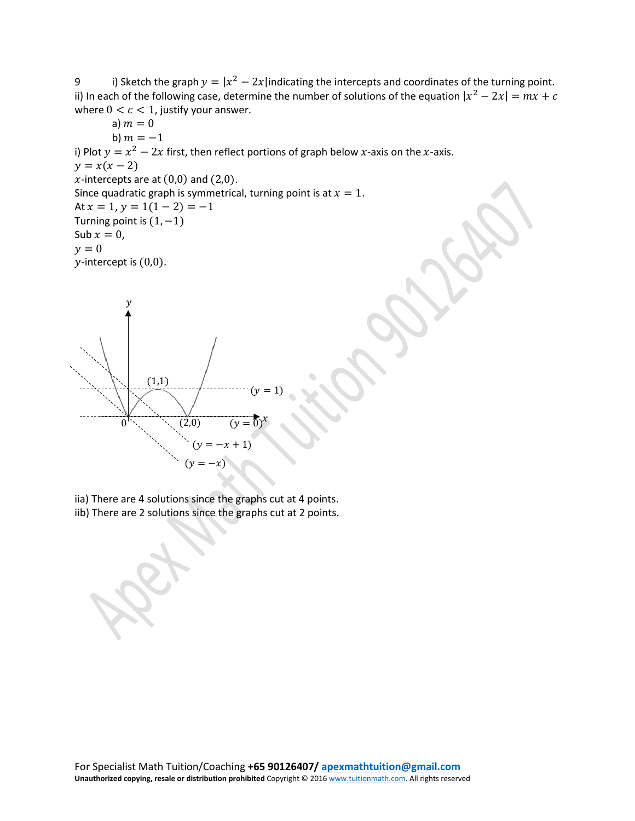9 i) Sketch the graph  $y = |x^2 - 2x|$  indicating the intercepts and coordinates of the turning point. ii) In each of the following case, determine the number of solutions of the equation  $|x^2 - 2x| = mx + c$ where  $0 < c < 1$ , justify your answer.

a)  $m = 0$ b)  $m = -1$ i) Plot  $y = x^2 - 2x$  first, then reflect portions of graph below x-axis on the x-axis.  $y = x(x - 2)$ x-intercepts are at  $(0,0)$  and  $(2,0)$ . Since quadratic graph is symmetrical, turning point is at  $x = 1$ . At  $x = 1$ ,  $y = 1(1 - 2) = -1$ Turning point is  $(1, -1)$ Sub  $x = 0$ ,  $y = 0$  $y$ -intercept is  $(0,0)$ .  $\mathcal{Y}$ 



iia) There are 4 solutions since the graphs cut at 4 points.

iib) There are 2 solutions since the graphs cut at 2 points.